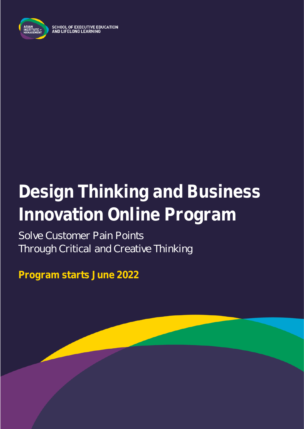

**SCHOOL OF EXECUTIVE EDUCATION** AND LIFELONG LEARNING

# **Design Thinking and Business Innovation Online Program**

Solve Customer Pain Points Through Critical and Creative Thinking

**Program starts June 2022**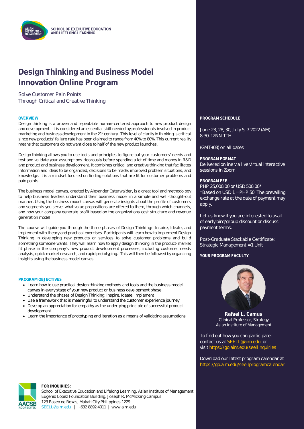

### **Design Thinking and Business Model Innovation Online Program**

### Solve Customer Pain Points Through Critical and Creative Thinking

Design thinking is a proven and repeatable human-centered approach to new product design and development. It is considered an essential skill needed by professionals involved in product marketing and business development in the 21<sup>st</sup> century. This level of clarity in thinking is critical since new products' failure rate has been claimed to range from 40% to 80%. This current reality means that customers do not want close to half of the new product launches.

Design thinking allows you to use tools and principles to figure out your customers' needs and test and validate your assumptions rigorously before spending a lot of time and money in R&D and product and business development. It combines critical and creative thinking that facilitates information and ideas to be organized, decisions to be made, improved problem situations, and knowledge. It is a mindset focused on finding solutions that are fit for customer problems and pain points.

The business model canvas, created by Alexander Osterwalder, is a great tool and methodology to help business leaders understand their business model in a simple and well-thought-out manner. Using the business model canvas will generate insights about the profile of customers and segments you serve, what value propositions are offered to them, through which channels, and how your company generate profit based on the organizations cost structure and revenue generation model.

The course will guide you through the three phases of Design Thinking: Inspire, Ideate, and Implement with theory and practical exercises. Participants will learn how to implement Design Thinking in developing new products or services to solve customer problems and build something someone wants. They will learn how to apply design thinking in the product-market fit phase in the company's new product development processes, including customer needs analysis, quick market research, and rapid prototyping. This will then be followed by organizing insights using the business model canvas.

#### **PROGRAM OBJECTIVES**

- Learn how to use practical design thinking methods and tools and the business model canvas in every stage of your new product or business development phase
- Understand the phases of Design Thinking: Inspire, Ideate, Implement
- Use a framework that is meaningful to understand the customer experience journey.
- Develop an appreciation for empathy as the underlying principle of successful product development
- Learn the importance of prototyping and iteration as a means of validating assumptions

**OVERVIEW PROGRAM SCHEDULE**

June 23, 28, 30, July 5, 7 2022 (AM) 8:30-12NN TTH

(GMT+08) on all dates

**PROGRAM FORMAT** Delivered online via live virtual interactive sessions in Zoom

#### **PROGRAM FEE**

PHP 25,000.00 or USD 500.00\* \*Based on USD 1 = PHP 50. The prevailing exchange rate at the date of payment may apply.

Let us know if you are interested to avail of early bird/group discount or discuss payment terms.

Post-Graduate Stackable Certificate: Strategic Management = 1 Unit

**YOUR PROGRAM FACULTY**



**Rafael L. Camus** Clinical Professor, Strategy Asian Institute of Management

To find out how you can participate, contact us at [SEELL@aim.edu](mailto:SEELL@aim.edu) or visit<https://go.aim.edu/seellinquiries>

Download our latest program calendar at <https://go.aim.edu/seellprogramcalendar>



#### **FOR INQUIRIES:**

School of Executive Education and Lifelong Learning, Asian Institute of Management Eugenio Lopez Foundation Building, Joseph R. McMicking Campus 123 Paseo de Roxas, Makati City Philippines 1229 [SEELL@aim.edu](mailto:SEELL@aim.edu) | +632 8892 4011 | www.aim.edu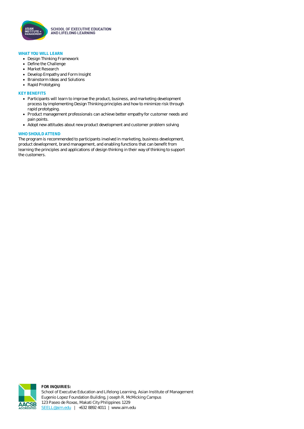

**SCHOOL OF EXECUTIVE EDUCATION** AND LIFELONG LEARNING

#### **WHAT YOU WILL LEARN**

- Design Thinking Framework
- Define the Challenge
- Market Research
- Develop Empathy and Form Insight
- Brainstorm Ideas and Solutions
- Rapid Prototyping

#### **KEY BENEFITS**

- Participants will learn to improve the product, business, and marketing development process by implementing Design Thinking principles and how to minimize risk through rapid prototyping.
- Product management professionals can achieve better empathy for customer needs and pain points.
- Adopt new attitudes about new product development and customer problem solving

#### **WHO SHOULD ATTEND**

The program is recommended to participants involved in marketing, business development, product development, brand management, and enabling functions that can benefit from learning the principles and applications of design thinking in their way of thinking to support the customers.

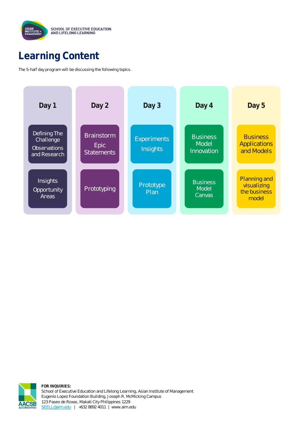

### **Learning Content**

The 5-half day program will be discussing the following topics.





**FOR INQUIRIES:** School of Executive Education and Lifelong Learning, Asian Institute of Management Eugenio Lopez Foundation Building, Joseph R. McMicking Campus 123 Paseo de Roxas, Makati City Philippines 1229 [SEELL@aim.edu](mailto:SEELL@aim.edu) | +632 8892 4011 | www.aim.edu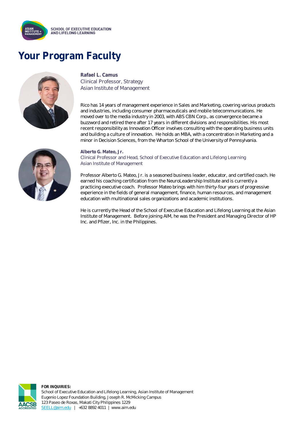

## **Your Program Faculty**



#### **Rafael L. Camus** Clinical Professor, Strategy Asian Institute of Management

Rico has 14 years of management experience in Sales and Marketing, covering various products and industries, including consumer pharmaceuticals and mobile telecommunications. He moved over to the media industry in 2003, with ABS CBN Corp., as convergence became a buzzword and retired there after 17 years in different divisions and responsibilities. His most recent responsibility as Innovation Officer involves consulting with the operating business units and building a culture of innovation. He holds an MBA, with a concentration in Marketing and a minor in Decision Sciences, from the Wharton School of the University of Pennsylvania.



**Alberto G. Mateo, Jr.**

Clinical Professor and Head, School of Executive Education and Lifelong Learning Asian Institute of Management

Professor Alberto G. Mateo, Jr. is a seasoned business leader, educator, and certified coach. He earned his coaching certification from the NeuroLeadership Institute and is currently a practicing executive coach. Professor Mateo brings with him thirty-four years of progressive experience in the fields of general management, finance, human resources, and management education with multinational sales organizations and academic institutions.

He is currently the Head of the School of Executive Education and Lifelong Learning at the Asian Institute of Management. Before joining AIM, he was the President and Managing Director of HP Inc. and Pfizer, Inc. in the Philippines.



**FOR INQUIRIES:** School of Executive Education and Lifelong Learning, Asian Institute of Management Eugenio Lopez Foundation Building, Joseph R. McMicking Campus 123 Paseo de Roxas, Makati City Philippines 1229 [SEELL@aim.edu](mailto:SEELL@aim.edu) | +632 8892 4011 | www.aim.edu